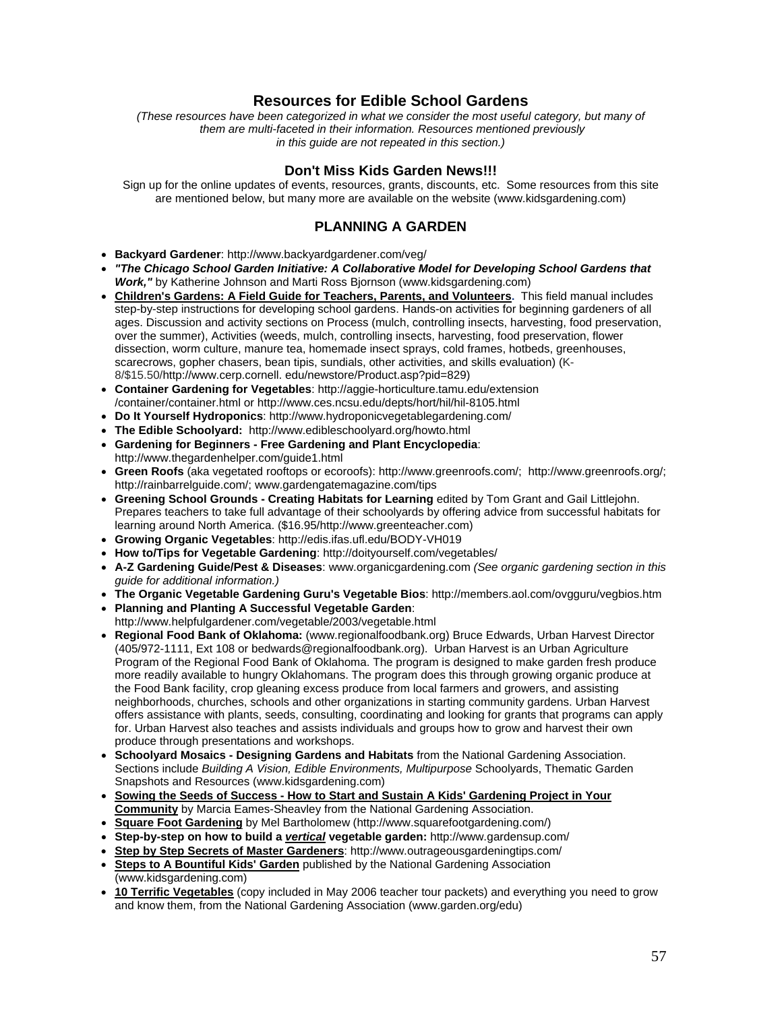# **Resources for Edible School Gardens**

*(These resources have been categorized in what we consider the most useful category, but many of them are multi-faceted in their information. Resources mentioned previously in this guide are not repeated in this section.)* 

#### **Don't Miss Kids Garden News!!!**

Sign up for the online updates of events, resources, grants, discounts, etc. Some resources from this site are mentioned below, but many more are available on the website (www.kidsgardening.com)

# **PLANNING A GARDEN**

- **Backyard Gardener**: http://www.backyardgardener.com/veg/
- *"The Chicago School Garden Initiative: A Collaborative Model for Developing School Gardens that Work,"* by Katherine Johnson and Marti Ross Bjornson (www.kidsgardening.com)
- **Children's Gardens: A Field Guide for Teachers, Parents, and Volunteers.** This field manual includes step-by-step instructions for developing school gardens. Hands-on activities for beginning gardeners of all ages. Discussion and activity sections on Process (mulch, controlling insects, harvesting, food preservation, over the summer), Activities (weeds, mulch, controlling insects, harvesting, food preservation, flower dissection, worm culture, manure tea, homemade insect sprays, cold frames, hotbeds, greenhouses, scarecrows, gopher chasers, bean tipis, sundials, other activities, and skills evaluation) (K-8/\$15.50/http://www.cerp.cornell. edu/newstore/Product.asp?pid=829)
- **Container Gardening for Vegetables**: http://aggie-horticulture.tamu.edu/extension /container/container.html or http://www.ces.ncsu.edu/depts/hort/hil/hil-8105.html
- **Do It Yourself Hydroponics**: http://www.hydroponicvegetablegardening.com/
- **The Edible Schoolyard:** http://www.edibleschoolyard.org/howto.html
- **Gardening for Beginners Free Gardening and Plant Encyclopedia**: http://www.thegardenhelper.com/guide1.html
- **Green Roofs** (aka vegetated rooftops or ecoroofs): http://www.greenroofs.com/; http://www.greenroofs.org/; http://rainbarrelguide.com/; www.gardengatemagazine.com/tips
- **Greening School Grounds Creating Habitats for Learning** edited by Tom Grant and Gail Littlejohn. Prepares teachers to take full advantage of their schoolyards by offering advice from successful habitats for learning around North America. (\$16.95/http://www.greenteacher.com)
- **Growing Organic Vegetables**: http://edis.ifas.ufl.edu/BODY-VH019
- **How to/Tips for Vegetable Gardening**: http://doityourself.com/vegetables/
- **A-Z Gardening Guide/Pest & Diseases**: www.organicgardening.com *(See organic gardening section in this guide for additional information.)*
- **The Organic Vegetable Gardening Guru's Vegetable Bios**: http://members.aol.com/ovgguru/vegbios.htm
- **Planning and Planting A Successful Vegetable Garden**: http://www.helpfulgardener.com/vegetable/2003/vegetable.html
- **Regional Food Bank of Oklahoma:** (www.regionalfoodbank.org) Bruce Edwards, Urban Harvest Director (405/972-1111, Ext 108 or bedwards@regionalfoodbank.org). Urban Harvest is an Urban Agriculture Program of the Regional Food Bank of Oklahoma. The program is designed to make garden fresh produce more readily available to hungry Oklahomans. The program does this through growing organic produce at the Food Bank facility, crop gleaning excess produce from local farmers and growers, and assisting neighborhoods, churches, schools and other organizations in starting community gardens. Urban Harvest offers assistance with plants, seeds, consulting, coordinating and looking for grants that programs can apply for. Urban Harvest also teaches and assists individuals and groups how to grow and harvest their own produce through presentations and workshops.
- **Schoolyard Mosaics Designing Gardens and Habitats** from the National Gardening Association. Sections include *Building A Vision, Edible Environments, Multipurpose* Schoolyards, Thematic Garden Snapshots and Resources (www.kidsgardening.com)
- **Sowing the Seeds of Success How to Start and Sustain A Kids' Gardening Project in Your Community** by Marcia Eames-Sheavley from the National Gardening Association.
- **Square Foot Gardening** by Mel Bartholomew (http://www.squarefootgardening.com/)
- **Step-by-step on how to build a** *vertical* **vegetable garden:** http://www.gardensup.com/
- **Step by Step Secrets of Master Gardeners**: http://www.outrageousgardeningtips.com/
- **Steps to A Bountiful Kids' Garden** published by the National Gardening Association (www.kidsgardening.com)
- **10 Terrific Vegetables** (copy included in May 2006 teacher tour packets) and everything you need to grow and know them, from the National Gardening Association (www.garden.org/edu)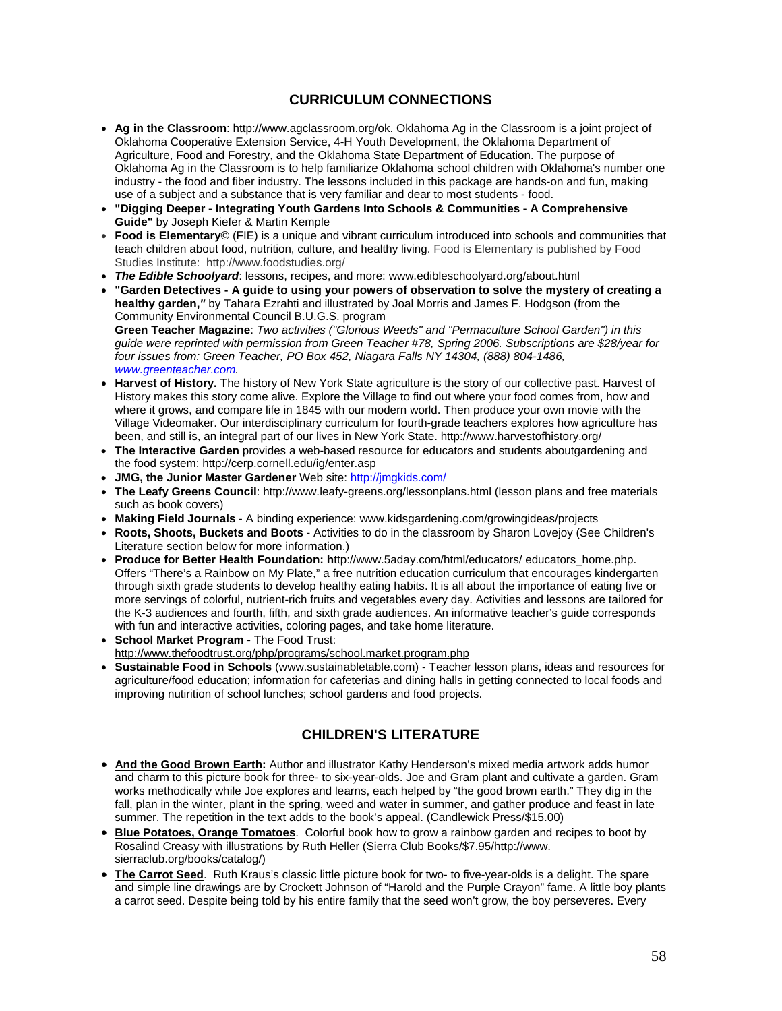## **CURRICULUM CONNECTIONS**

- **Ag in the Classroom**: http://www.agclassroom.org/ok. Oklahoma Ag in the Classroom is a joint project of Oklahoma Cooperative Extension Service, 4-H Youth Development, the Oklahoma Department of Agriculture, Food and Forestry, and the Oklahoma State Department of Education. The purpose of Oklahoma Ag in the Classroom is to help familiarize Oklahoma school children with Oklahoma's number one industry - the food and fiber industry. The lessons included in this package are hands-on and fun, making use of a subject and a substance that is very familiar and dear to most students - food.
- **"Digging Deeper Integrating Youth Gardens Into Schools & Communities A Comprehensive Guide"** by Joseph Kiefer & Martin Kemple
- **Food is Elementary**© (FIE) is a unique and vibrant curriculum introduced into schools and communities that teach children about food, nutrition, culture, and healthy living. Food is Elementary is published by Food Studies Institute: http://www.foodstudies.org/
- *The Edible Schoolyard*: lessons, recipes, and more: www.edibleschoolyard.org/about.html
- **"Garden Detectives A guide to using your powers of observation to solve the mystery of creating a healthy garden,***"* by Tahara Ezrahti and illustrated by Joal Morris and James F. Hodgson (from the Community Environmental Council B.U.G.S. program **Green Teacher Magazine**: *Two activities ("Glorious Weeds" and "Permaculture School Garden") in this guide were reprinted with permission from Green Teacher #78, Spring 2006. Subscriptions are \$28/year for four issues from: Green Teacher, PO Box 452, Niagara Falls NY 14304, (888) 804-1486, [www.greenteacher.com.](http://www.greenteacher.com/)*
- **Harvest of History.** The history of New York State agriculture is the story of our collective past. Harvest of History makes this story come alive. Explore the Village to find out where your food comes from, how and where it grows, and compare life in 1845 with our modern world. Then produce your own movie with the Village Videomaker. Our interdisciplinary curriculum for fourth-grade teachers explores how agriculture has been, and still is, an integral part of our lives in New York State. http://www.harvestofhistory.org/
- **The Interactive Garden** provides a web-based resource for educators and students aboutgardening and the food system: http://cerp.cornell.edu/ig/enter.asp
- **JMG, the Junior Master Gardener** Web site: [http://jmgkids.com/](http://www.jmgkids.com/)
- **The Leafy Greens Council**: http://www.leafy-greens.org/lessonplans.html (lesson plans and free materials such as book covers)
- **Making Field Journals** A binding experience: www.kidsgardening.com/growingideas/projects
- **Roots, Shoots, Buckets and Boots** Activities to do in the classroom by Sharon Lovejoy (See Children's Literature section below for more information.)
- **Produce for Better Health Foundation: http://www.5aday.com/html/educators/ educators\_home.php.** Offers "There's a Rainbow on My Plate," a free nutrition education curriculum that encourages kindergarten through sixth grade students to develop healthy eating habits. It is all about the importance of eating five or more servings of colorful, nutrient-rich fruits and vegetables every day. Activities and lessons are tailored for the K-3 audiences and fourth, fifth, and sixth grade audiences. An informative teacher's guide corresponds with fun and interactive activities, coloring pages, and take home literature.
- **School Market Program** The Food Trust: <http://www.thefoodtrust.org/php/programs/school.market.program.php>
- **Sustainable Food in Schools** (www.sustainabletable.com) Teacher lesson plans, ideas and resources for agriculture/food education; information for cafeterias and dining halls in getting connected to local foods and improving nutirition of school lunches; school gardens and food projects.

# **CHILDREN'S LITERATURE**

- **[And the Good Brown Earth](http://erclk.about.com/?zi=16/fMa):** Author and illustrator Kathy Henderson's mixed media artwork adds humor and charm to this picture book for three- to six-year-olds. Joe and Gram plant and cultivate a garden. Gram works methodically while Joe explores and learns, each helped by "the good brown earth." They dig in the fall, plan in the winter, plant in the spring, weed and water in summer, and gather produce and feast in late summer. The repetition in the text adds to the book's appeal. (Candlewick Press/\$15.00)
- **Blue Potatoes, Orange Tomatoes**. Colorful book how to grow a rainbow garden and recipes to boot by Rosalind Creasy with illustrations by Ruth Heller (Sierra Club Books/\$7.95/http://www. sierraclub.org/books/catalog/)
- **[The Carrot Seed](http://erclk.about.com/?zi=16/mEs)**. Ruth Kraus's classic little picture book for two- to five-year-olds is a delight. The spare and simple line drawings are by Crockett Johnson of "Harold and the Purple Crayon" fame. A little boy plants a carrot seed. Despite being told by his entire family that the seed won't grow, the boy perseveres. Every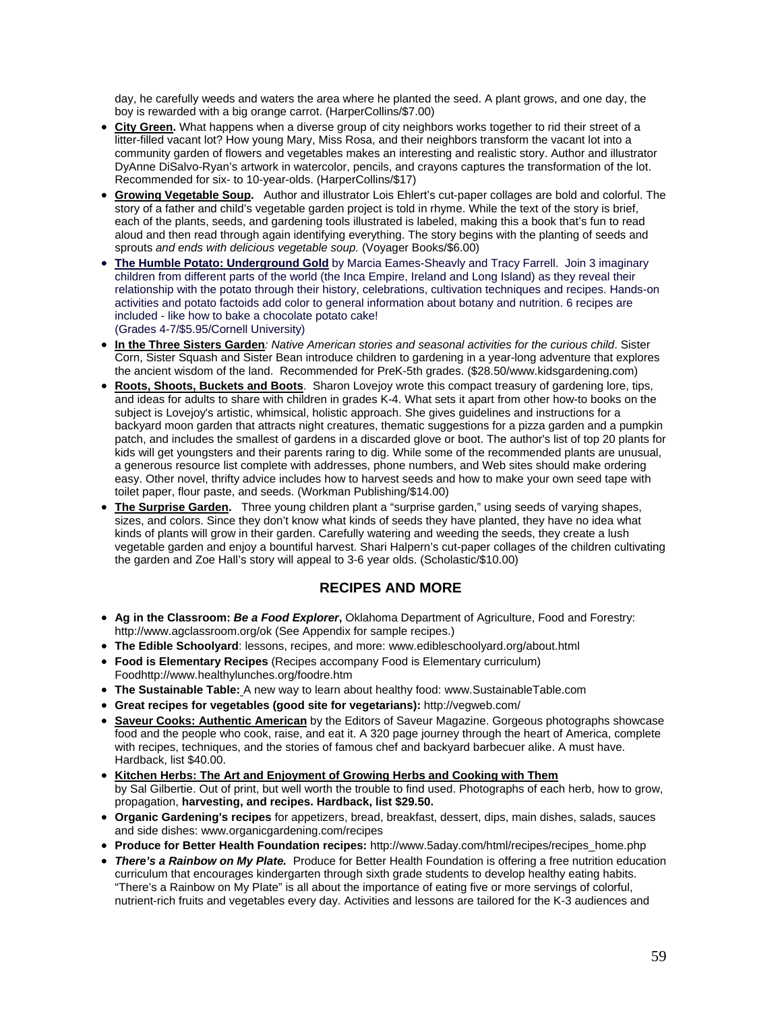day, he carefully weeds and waters the area where he planted the seed. A plant grows, and one day, the boy is rewarded with a big orange carrot. (HarperCollins/\$7.00)

- **[City Green](http://erclk.about.com/?zi=16/fM5).** What happens when a diverse group of city neighbors works together to rid their street of a litter-filled vacant lot? How young Mary, Miss Rosa, and their neighbors transform the vacant lot into a community garden of flowers and vegetables makes an interesting and realistic story. Author and illustrator DyAnne DiSalvo-Ryan's artwork in watercolor, pencils, and crayons captures the transformation of the lot. Recommended for six- to 10-year-olds. (HarperCollins/\$17)
- **[Growing Vegetable Soup.](http://erclk.about.com/?zi=16/fM%5b)** Author and illustrator Lois Ehlert's cut-paper collages are bold and colorful. The story of a father and child's vegetable garden project is told in rhyme. While the text of the story is brief, each of the plants, seeds, and gardening tools illustrated is labeled, making this a book that's fun to read aloud and then read through again identifying everything. The story begins with the planting of seeds and sprouts *and ends with delicious vegetable soup.* (Voyager Books/\$6.00)
- **The Humble Potato: Underground Gold** by Marcia Eames-Sheavly and Tracy Farrell. Join 3 imaginary children from different parts of the world (the Inca Empire, Ireland and Long Island) as they reveal their relationship with the potato through their history, celebrations, cultivation techniques and recipes. Hands-on activities and potato factoids add color to general information about botany and nutrition. 6 recipes are included - like how to bake a chocolate potato cake! (Grades 4-7/\$5.95/Cornell University)
- **In the Three Sisters Garden***: Native American stories and seasonal activities for the curious child*. Sister Corn, Sister Squash and Sister Bean introduce children to gardening in a year-long adventure that explores the ancient wisdom of the land. Recommended for PreK-5th grades. (\$28.50/www.kidsgardening.com)
- **Roots, Shoots, Buckets and Boots**. Sharon Lovejoy wrote this compact treasury of gardening lore, tips, and ideas for adults to share with children in grades K-4. What sets it apart from other how-to books on the subject is Lovejoy's artistic, whimsical, holistic approach. She gives guidelines and instructions for a backyard moon garden that attracts night creatures, thematic suggestions for a pizza garden and a pumpkin patch, and includes the smallest of gardens in a discarded glove or boot. The author's list of top 20 plants for kids will get youngsters and their parents raring to dig. While some of the recommended plants are unusual, a generous resource list complete with addresses, phone numbers, and Web sites should make ordering easy. Other novel, thrifty advice includes how to harvest seeds and how to make your own seed tape with toilet paper, flour paste, and seeds. (Workman Publishing/\$14.00)
- **[The Surprise Garden](http://erclk.about.com/?zi=16/fMY).** Three young children plant a "surprise garden," using seeds of varying shapes, sizes, and colors. Since they don't know what kinds of seeds they have planted, they have no idea what kinds of plants will grow in their garden. Carefully watering and weeding the seeds, they create a lush vegetable garden and enjoy a bountiful harvest. Shari Halpern's cut-paper collages of the children cultivating the garden and Zoe Hall's story will appeal to 3-6 year olds. (Scholastic/\$10.00)

## **RECIPES AND MORE**

- **Ag in the Classroom:** *Be a Food Explorer***,** Oklahoma Department of Agriculture, Food and Forestry: http://www.agclassroom.org/ok (See Appendix for sample recipes.)
- **The Edible Schoolyard**: lessons, recipes, and more: www.edibleschoolyard.org/about.html
- **Food is Elementary Recipes** (Recipes accompany Food is Elementary curriculum) Foodhttp://www.healthylunches.org/foodre.htm
- **The Sustainable Table:** A new way to learn about healthy food: www.SustainableTable.com
- **Great recipes for vegetables (good site for vegetarians):** http://vegweb.com/
- **[Saveur Cooks: Authentic American](http://www.amazon.com/exec/obidos/ASIN/0811821609/theorganicvegeta)** by the Editors of Saveur Magazine. Gorgeous photographs showcase food and the people who cook, raise, and eat it. A 320 page journey through the heart of America, complete with recipes, techniques, and the stories of famous chef and backyard barbecuer alike. A must have. Hardback, list \$40.00.
- **[Kitchen Herbs: The Art and Enjoyment of Growing Herbs and Cooking with Them](http://www.amazon.com/exec/obidos/ASIN/0553052659/theorganicvegeta)** by Sal Gilbertie. Out of print, but well worth the trouble to find used. Photographs of each herb, how to grow, propagation, **harvesting, and recipes. Hardback, list \$29.50.**
- **Organic Gardening's recipes** for appetizers, bread, breakfast, dessert, dips, main dishes, salads, sauces and side dishes: www.organicgardening.com/recipes
- **Produce for Better Health Foundation recipes:** http://www.5aday.com/html/recipes/recipes\_home.php
- *There's a Rainbow on My Plate.* Produce for Better Health Foundation is offering a free nutrition education curriculum that encourages kindergarten through sixth grade students to develop healthy eating habits. "There's a Rainbow on My Plate" is all about the importance of eating five or more servings of colorful, nutrient-rich fruits and vegetables every day. Activities and lessons are tailored for the K-3 audiences and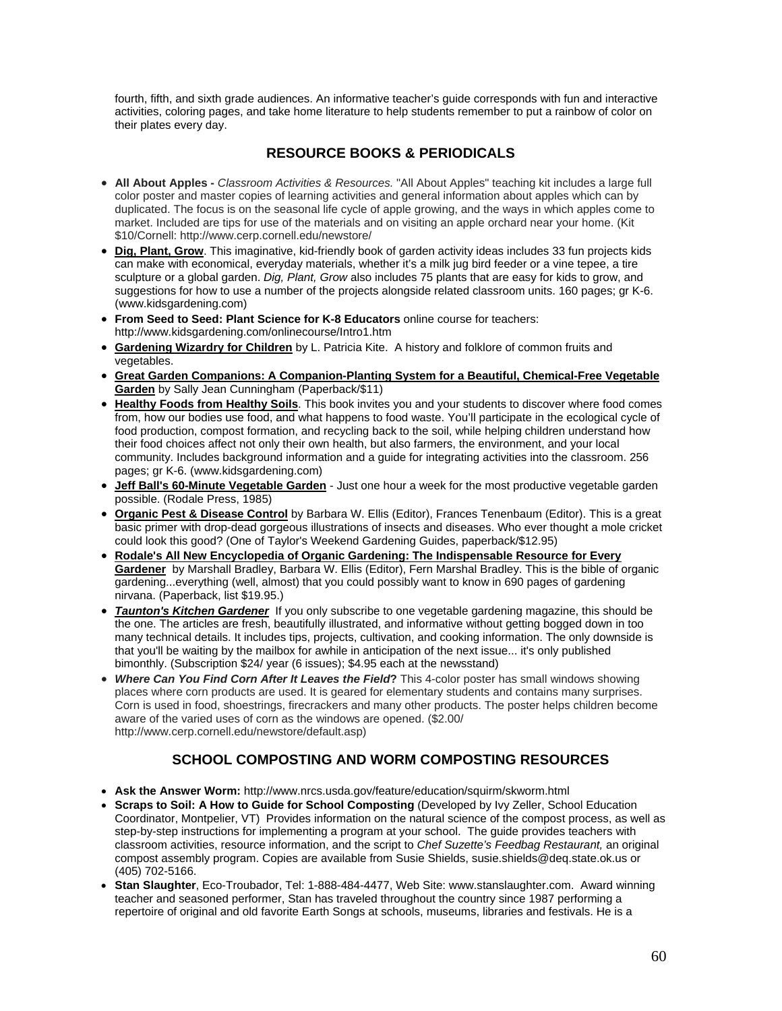fourth, fifth, and sixth grade audiences. An informative teacher's guide corresponds with fun and interactive activities, coloring pages, and take home literature to help students remember to put a rainbow of color on their plates every day.

# **RESOURCE BOOKS & PERIODICALS**

- **All About Apples** *Classroom Activities & Resources.* "All About Apples" teaching kit includes a large full color poster and master copies of learning activities and general information about apples which can by duplicated. The focus is on the seasonal life cycle of apple growing, and the ways in which apples come to market. Included are tips for use of the materials and on visiting an apple orchard near your home. (Kit \$10/Cornell: http://www.cerp.cornell.edu/newstore/
- **Dig, Plant, Grow**. This imaginative, kid-friendly book of garden activity ideas includes 33 fun projects kids can make with economical, everyday materials, whether it's a milk jug bird feeder or a vine tepee, a tire sculpture or a global garden. *Dig, Plant, Grow* also includes 75 plants that are easy for kids to grow, and suggestions for how to use a number of the projects alongside related classroom units. 160 pages; gr K-6. (www.kidsgardening.com)
- **From Seed to Seed: Plant Science for K-8 Educators** online course for teachers: http://www.kidsgardening.com/onlinecourse/Intro1.htm
- **Gardening Wizardry for Children** by L. Patricia Kite. A history and folklore of common fruits and vegetables.
- **Great Garden Companions: A Companion-Planting System for a Beautiful, Chemical-Free Vegetable Garden** by [Sally Jean Cunningham](http://www.amazon.com/exec/obidos/search-handle-url/index=books&field-author-exact=Sally%20Jean%20Cunningham&rank=-relevance%2C%2Bavailability%2C-daterank/103-8267661-0239006) (Paperback/\$11)
- **Healthy Foods from Healthy Soils**. This book invites you and your students to discover where food comes from, how our bodies use food, and what happens to food waste. You'll participate in the ecological cycle of food production, compost formation, and recycling back to the soil, while helping children understand how their food choices affect not only their own health, but also farmers, the environment, and your local community. Includes background information and a guide for integrating activities into the classroom. 256 pages; gr K-6. (www.kidsgardening.com)
- **Jeff Ball's 60-Minute Vegetable Garden** Just one hour a week for the most productive vegetable garden possible. (Rodale Press, 1985)
- **[Organic Pest & Disease Control](http://www.amazon.com/exec/obidos/ASIN/0395813700/theorganicvegeta)** by Barbara W. Ellis (Editor), Frances Tenenbaum (Editor). This is a great basic primer with drop-dead gorgeous illustrations of insects and diseases. Who ever thought a mole cricket could look this good? (One of Taylor's Weekend Gardening Guides, paperback/\$12.95)
- **[Rodale's All New Encyclopedia of Organic Gardening: The Indispensable Resource for Every](http://www.amazon.com/exec/obidos/ASIN/0875965997/theorganicvegeta)  [Gardener](http://www.amazon.com/exec/obidos/ASIN/0875965997/theorganicvegeta)** by Marshall Bradley, Barbara W. Ellis (Editor), Fern Marshal Bradley. This is the bible of organic gardening...everything (well, almost) that you could possibly want to know in 690 pages of gardening nirvana. (Paperback, list \$19.95.)
- *[Taunton's Kitchen Gardener](http://www.kitchengarden.com/)* If you only subscribe to one vegetable gardening magazine, this should be the one. The articles are fresh, beautifully illustrated, and informative without getting bogged down in too many technical details. It includes tips, projects, cultivation, and cooking information. The only downside is that you'll be waiting by the mailbox for awhile in anticipation of the next issue... it's only published bimonthly. (Subscription \$24/ year (6 issues); \$4.95 each at the newsstand)
- *Where Can You Find Corn After It Leaves the Field***?** This 4-color poster has small windows showing places where corn products are used. It is geared for elementary students and contains many surprises. Corn is used in food, shoestrings, firecrackers and many other products. The poster helps children become aware of the varied uses of corn as the windows are opened. (\$2.00/ http://www.cerp.cornell.edu/newstore/default.asp)

# **SCHOOL COMPOSTING AND WORM COMPOSTING RESOURCES**

- **Ask the Answer Worm:** http://www.nrcs.usda.gov/feature/education/squirm/skworm.html
- **Scraps to Soil: A How to Guide for School Composting** (Developed by Ivy Zeller, School Education Coordinator, Montpelier, VT) Provides information on the natural science of the compost process, as well as step-by-step instructions for implementing a program at your school. The guide provides teachers with classroom activities, resource information, and the script to *Chef Suzette's Feedbag Restaurant,* an original compost assembly program. Copies are available from Susie Shields, susie.shields@deq.state.ok.us or (405) 702-5166.
- **Stan Slaughter**, Eco-Troubador, Tel: 1-888-484-4477, Web Site: www.stanslaughter.com. Award winning teacher and seasoned performer, Stan has traveled throughout the country since 1987 performing a repertoire of original and old favorite Earth Songs at schools, museums, libraries and festivals. He is a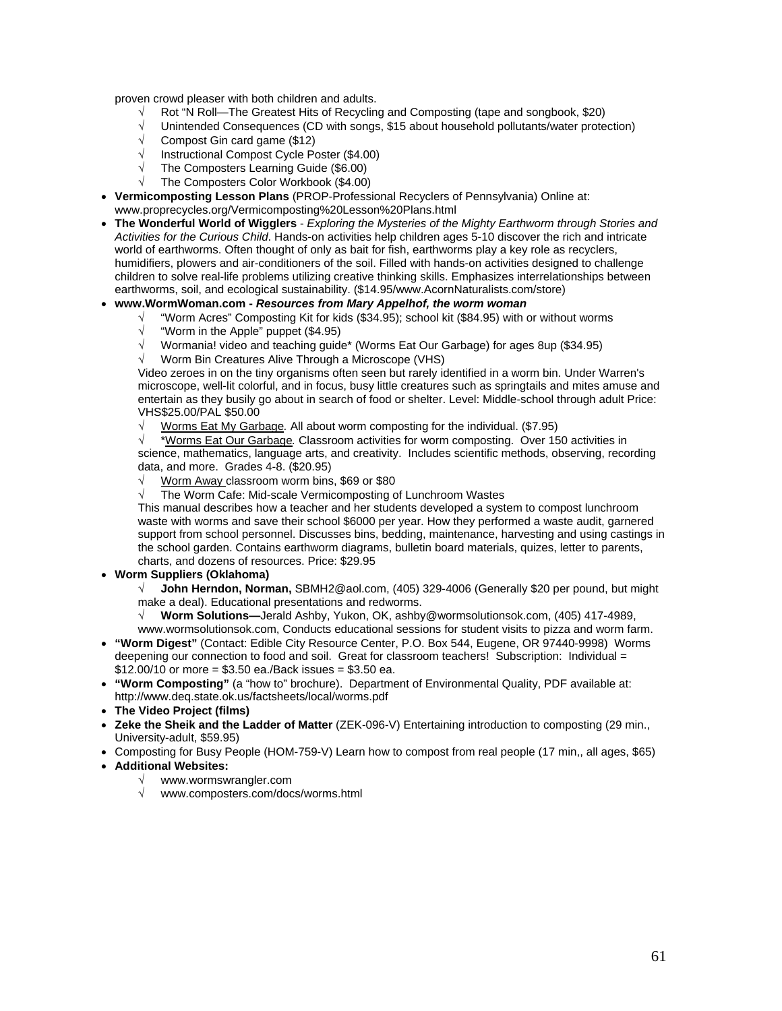proven crowd pleaser with both children and adults.

- Rot "N Roll—The Greatest Hits of Recycling and Composting (tape and songbook, \$20)
- √ Unintended Consequences (CD with songs, \$15 about household pollutants/water protection)
- $\sqrt{\phantom{a}}$  Compost Gin card game (\$12)
- √ Instructional Compost Cycle Poster (\$4.00)
- $\sqrt{ }$  The Composters Learning Guide (\$6.00)
- √ The Composters Color Workbook (\$4.00)
- **Vermicomposting Lesson Plans** (PROP-Professional Recyclers of Pennsylvania) Online at: www.proprecycles.org/Vermicomposting%20Lesson%20Plans.html
- **The Wonderful World of Wigglers** *Exploring the Mysteries of the Mighty Earthworm through Stories and Activities for the Curious Child*. Hands-on activities help children ages 5-10 discover the rich and intricate world of earthworms. Often thought of only as bait for fish, earthworms play a key role as recyclers, humidifiers, plowers and air-conditioners of the soil. Filled with hands-on activities designed to challenge children to solve real-life problems utilizing creative thinking skills. Emphasizes interrelationships between earthworms, soil, and ecological sustainability. (\$14.95/www.AcornNaturalists.com/store)

#### • **www.WormWoman.com -** *Resources from Mary Appelhof, the worm woman*

- √ "Worm Acres" Composting Kit for kids (\$34.95); school kit (\$84.95) with or without worms
- $\sqrt{\phantom{a}}$  "Worm in the Apple" puppet (\$4.95)
- √ Wormania! video and teaching guide\* (Worms Eat Our Garbage) for ages 8up (\$34.95)
- √ Worm Bin Creatures Alive Through a Microscope (VHS)

Video zeroes in on the tiny organisms often seen but rarely identified in a worm bin. Under Warren's microscope, well-lit colorful, and in focus, busy little creatures such as springtails and mites amuse and entertain as they busily go about in search of food or shelter. Level: Middle-school through adult Price: VHS\$25.00/PAL \$50.00

√ Worms Eat My Garbage*.* All about worm composting for the individual. (\$7.95)

√ \*Worms Eat Our Garbage*.* Classroom activities for worm composting. Over 150 activities in science, mathematics, language arts, and creativity. Includes scientific methods, observing, recording data, and more. Grades 4-8. (\$20.95)

- √ Worm Away classroom worm bins, \$69 or \$80
- √ The Worm Cafe: Mid-scale Vermicomposting of Lunchroom Wastes

This manual describes how a teacher and her students developed a system to compost lunchroom waste with worms and save their school \$6000 per year. How they performed a waste audit, garnered support from school personnel. Discusses bins, bedding, maintenance, harvesting and using castings in the school garden. Contains earthworm diagrams, bulletin board materials, quizes, letter to parents, charts, and dozens of resources. Price: \$29.95

### • **Worm Suppliers (Oklahoma)**

√ **John Herndon, Norman,** SBMH2@aol.com, (405) 329-4006 (Generally \$20 per pound, but might make a deal). Educational presentations and redworms.

√ **Worm Solutions—**Jerald Ashby, Yukon, OK, ashby@wormsolutionsok.com, (405) 417-4989,

www.wormsolutionsok.com, Conducts educational sessions for student visits to pizza and worm farm.

- **"Worm Digest"** (Contact: Edible City Resource Center, P.O. Box 544, Eugene, OR 97440-9998) Worms deepening our connection to food and soil. Great for classroom teachers! Subscription: Individual =  $$12.00/10$  or more = \$3.50 ea./Back issues = \$3.50 ea.
- **"Worm Composting"** (a "how to" brochure). Department of Environmental Quality, PDF available at: http://www.deq.state.ok.us/factsheets/local/worms.pdf
- **The Video Project (films)**
- **Zeke the Sheik and the Ladder of Matter** (ZEK-096-V) Entertaining introduction to composting (29 min., University-adult, \$59.95)
- Composting for Busy People (HOM-759-V) Learn how to compost from real people (17 min,, all ages, \$65)
- **Additional Websites:** 
	- √ www.wormswrangler.com
	- √ www.composters.com/docs/worms.html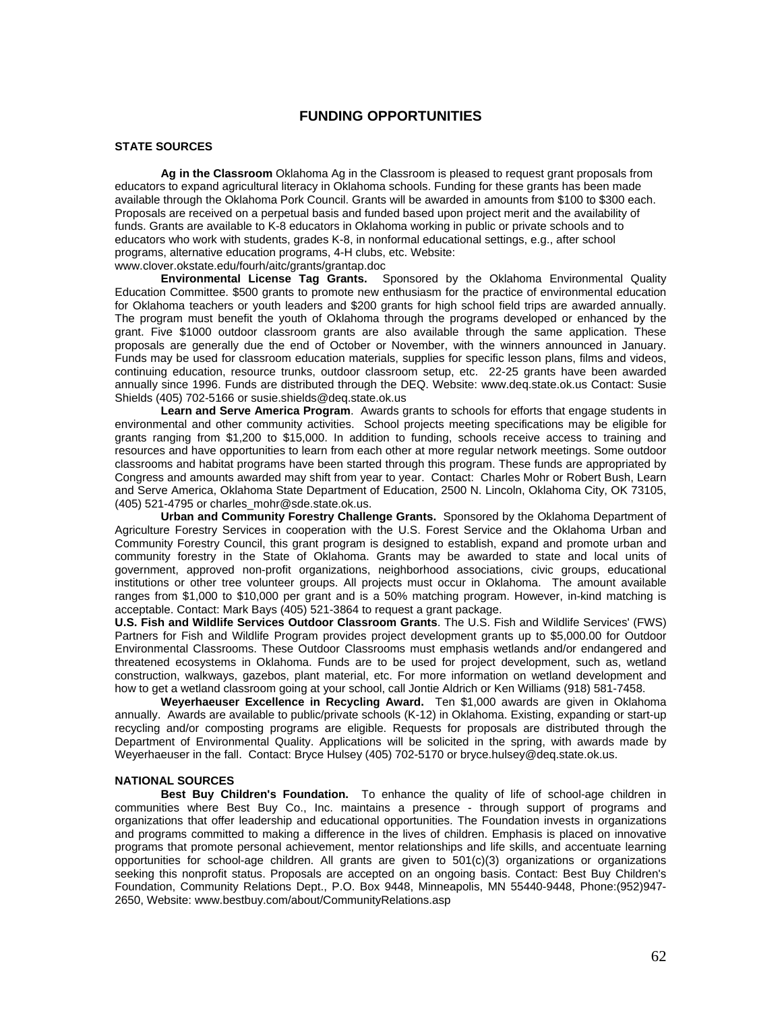### **FUNDING OPPORTUNITIES**

#### **STATE SOURCES**

 **Ag in the Classroom** Oklahoma Ag in the Classroom is pleased to request grant proposals from educators to expand agricultural literacy in Oklahoma schools. Funding for these grants has been made available through the Oklahoma Pork Council. Grants will be awarded in amounts from \$100 to \$300 each. Proposals are received on a perpetual basis and funded based upon project merit and the availability of funds. Grants are available to K-8 educators in Oklahoma working in public or private schools and to educators who work with students, grades K-8, in nonformal educational settings, e.g., after school programs, alternative education programs, 4-H clubs, etc. Website: www.clover.okstate.edu/fourh/aitc/grants/grantap.doc

 **Environmental License Tag Grants.** Sponsored by the Oklahoma Environmental Quality Education Committee. \$500 grants to promote new enthusiasm for the practice of environmental education for Oklahoma teachers or youth leaders and \$200 grants for high school field trips are awarded annually. The program must benefit the youth of Oklahoma through the programs developed or enhanced by the grant. Five \$1000 outdoor classroom grants are also available through the same application. These proposals are generally due the end of October or November, with the winners announced in January. Funds may be used for classroom education materials, supplies for specific lesson plans, films and videos, continuing education, resource trunks, outdoor classroom setup, etc. 22-25 grants have been awarded annually since 1996. Funds are distributed through the DEQ. Website: www.deq.state.ok.us Contact: Susie Shields (405) 702-5166 or susie.shields@deq.state.ok.us

**Learn and Serve America Program**. Awards grants to schools for efforts that engage students in environmental and other community activities. School projects meeting specifications may be eligible for grants ranging from \$1,200 to \$15,000. In addition to funding, schools receive access to training and resources and have opportunities to learn from each other at more regular network meetings. Some outdoor classrooms and habitat programs have been started through this program. These funds are appropriated by Congress and amounts awarded may shift from year to year. Contact: Charles Mohr or Robert Bush, Learn and Serve America, Oklahoma State Department of Education, 2500 N. Lincoln, Oklahoma City, OK 73105, (405) 521-4795 or charles\_mohr@sde.state.ok.us.

 **Urban and Community Forestry Challenge Grants.** Sponsored by the Oklahoma Department of Agriculture Forestry Services in cooperation with the U.S. Forest Service and the Oklahoma Urban and Community Forestry Council, this grant program is designed to establish, expand and promote urban and community forestry in the State of Oklahoma. Grants may be awarded to state and local units of government, approved non-profit organizations, neighborhood associations, civic groups, educational institutions or other tree volunteer groups. All projects must occur in Oklahoma. The amount available ranges from \$1,000 to \$10,000 per grant and is a 50% matching program. However, in-kind matching is acceptable. Contact: Mark Bays (405) 521-3864 to request a grant package.

**U.S. Fish and Wildlife Services Outdoor Classroom Grants**. The U.S. Fish and Wildlife Services' (FWS) Partners for Fish and Wildlife Program provides project development grants up to \$5,000.00 for Outdoor Environmental Classrooms. These Outdoor Classrooms must emphasis wetlands and/or endangered and threatened ecosystems in Oklahoma. Funds are to be used for project development, such as, wetland construction, walkways, gazebos, plant material, etc. For more information on wetland development and how to get a wetland classroom going at your school, call Jontie Aldrich or Ken Williams (918) 581-7458.

 **Weyerhaeuser Excellence in Recycling Award.** Ten \$1,000 awards are given in Oklahoma annually. Awards are available to public/private schools (K-12) in Oklahoma. Existing, expanding or start-up recycling and/or composting programs are eligible. Requests for proposals are distributed through the Department of Environmental Quality. Applications will be solicited in the spring, with awards made by Weyerhaeuser in the fall. Contact: Bryce Hulsey (405) 702-5170 or bryce.hulsey@deq.state.ok.us.

#### **NATIONAL SOURCES**

 **Best Buy Children's Foundation.** To enhance the quality of life of school-age children in communities where Best Buy Co., Inc. maintains a presence - through support of programs and organizations that offer leadership and educational opportunities. The Foundation invests in organizations and programs committed to making a difference in the lives of children. Emphasis is placed on innovative programs that promote personal achievement, mentor relationships and life skills, and accentuate learning opportunities for school-age children. All grants are given to 501(c)(3) organizations or organizations seeking this nonprofit status. Proposals are accepted on an ongoing basis. Contact: Best Buy Children's Foundation, Community Relations Dept., P.O. Box 9448, Minneapolis, MN 55440-9448, Phone:(952)947- 2650, Website: www.bestbuy.com/about/CommunityRelations.asp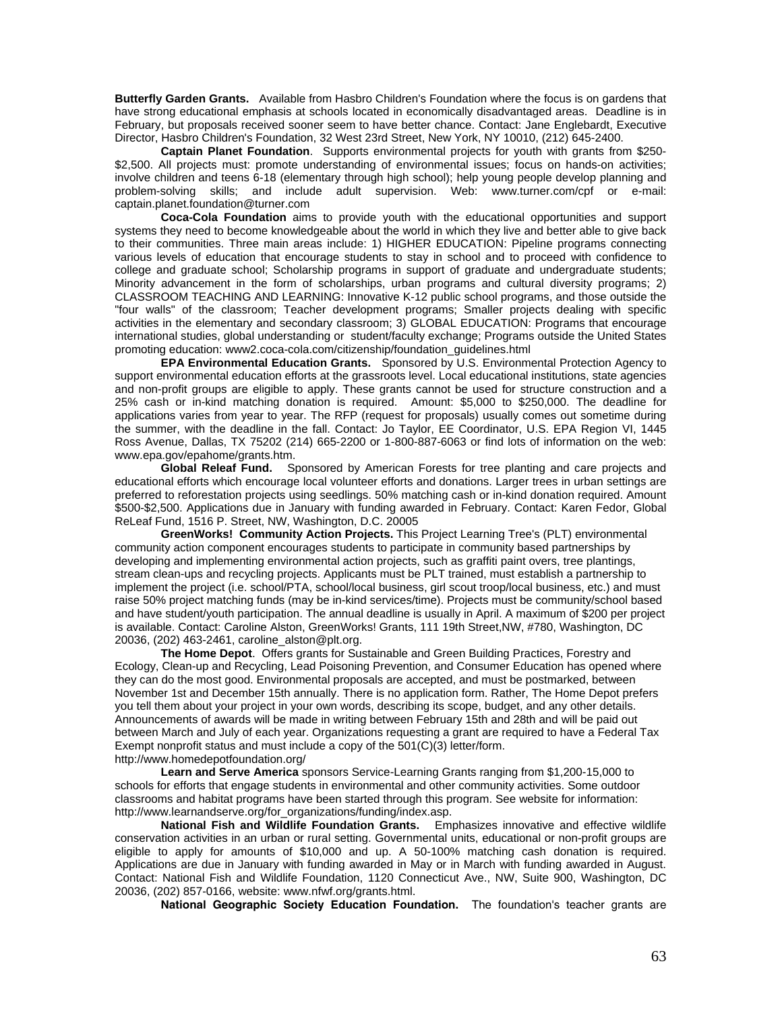**Butterfly Garden Grants.** Available from Hasbro Children's Foundation where the focus is on gardens that have strong educational emphasis at schools located in economically disadvantaged areas. Deadline is in February, but proposals received sooner seem to have better chance. Contact: Jane Englebardt, Executive Director, Hasbro Children's Foundation, 32 West 23rd Street, New York, NY 10010, (212) 645-2400.

 **Captain Planet Foundation**. Supports environmental projects for youth with grants from \$250- \$2,500. All projects must: promote understanding of environmental issues; focus on hands-on activities; involve children and teens 6-18 (elementary through high school); help young people develop planning and problem-solving skills; and include adult supervision. Web: www.turner.com/cpf or e-mail: captain.planet.foundation@turner.com

 **Coca-Cola Foundation** aims to provide youth with the educational opportunities and support systems they need to become knowledgeable about the world in which they live and better able to give back to their communities. Three main areas include: 1) HIGHER EDUCATION: Pipeline programs connecting various levels of education that encourage students to stay in school and to proceed with confidence to college and graduate school; Scholarship programs in support of graduate and undergraduate students; Minority advancement in the form of scholarships, urban programs and cultural diversity programs; 2) CLASSROOM TEACHING AND LEARNING: Innovative K-12 public school programs, and those outside the "four walls" of the classroom; Teacher development programs; Smaller projects dealing with specific activities in the elementary and secondary classroom; 3) GLOBAL EDUCATION: Programs that encourage international studies, global understanding or student/faculty exchange; Programs outside the United States promoting education: www2.coca-cola.com/citizenship/foundation\_guidelines.html

 **EPA Environmental Education Grants.** Sponsored by U.S. Environmental Protection Agency to support environmental education efforts at the grassroots level. Local educational institutions, state agencies and non-profit groups are eligible to apply. These grants cannot be used for structure construction and a 25% cash or in-kind matching donation is required. Amount: \$5,000 to \$250,000. The deadline for applications varies from year to year. The RFP (request for proposals) usually comes out sometime during the summer, with the deadline in the fall. Contact: Jo Taylor, EE Coordinator, U.S. EPA Region VI, 1445 Ross Avenue, Dallas, TX 75202 (214) 665-2200 or 1-800-887-6063 or find lots of information on the web: www.epa.gov/epahome/grants.htm.

**Global Releaf Fund.** Sponsored by American Forests for tree planting and care projects and educational efforts which encourage local volunteer efforts and donations. Larger trees in urban settings are preferred to reforestation projects using seedlings. 50% matching cash or in-kind donation required. Amount \$500-\$2,500. Applications due in January with funding awarded in February. Contact: Karen Fedor, Global ReLeaf Fund, 1516 P. Street, NW, Washington, D.C. 20005

**GreenWorks! Community Action Projects.** This Project Learning Tree's (PLT) environmental community action component encourages students to participate in community based partnerships by developing and implementing environmental action projects, such as graffiti paint overs, tree plantings, stream clean-ups and recycling projects. Applicants must be PLT trained, must establish a partnership to implement the project (i.e. school/PTA, school/local business, girl scout troop/local business, etc.) and must raise 50% project matching funds (may be in-kind services/time). Projects must be community/school based and have student/youth participation. The annual deadline is usually in April. A maximum of \$200 per project is available. Contact: Caroline Alston, GreenWorks! Grants, 111 19th Street,NW, #780, Washington, DC 20036, (202) 463-2461, caroline\_alston@plt.org.

**The Home Depot**. Offers grants for Sustainable and Green Building Practices, Forestry and Ecology, Clean-up and Recycling, Lead Poisoning Prevention, and Consumer Education has opened where they can do the most good. Environmental proposals are accepted, and must be postmarked, between November 1st and December 15th annually. There is no application form. Rather, The Home Depot prefers you tell them about your project in your own words, describing its scope, budget, and any other details. Announcements of awards will be made in writing between February 15th and 28th and will be paid out between March and July of each year. Organizations requesting a grant are required to have a Federal Tax Exempt nonprofit status and must include a copy of the 501(C)(3) letter/form. http://www.homedepotfoundation.org/

**Learn and Serve America** sponsors Service-Learning Grants ranging from \$1,200-15,000 to schools for efforts that engage students in environmental and other community activities. Some outdoor classrooms and habitat programs have been started through this program. See website for information: http://www.learnandserve.org/for\_organizations/funding/index.asp.

**National Fish and Wildlife Foundation Grants.** Emphasizes innovative and effective wildlife conservation activities in an urban or rural setting. Governmental units, educational or non-profit groups are eligible to apply for amounts of \$10,000 and up. A 50-100% matching cash donation is required. Applications are due in January with funding awarded in May or in March with funding awarded in August. Contact: National Fish and Wildlife Foundation, 1120 Connecticut Ave., NW, Suite 900, Washington, DC 20036, (202) 857-0166, website: www.nfwf.org/grants.html.

**National Geographic Society Education Foundation.** The foundation's teacher grants are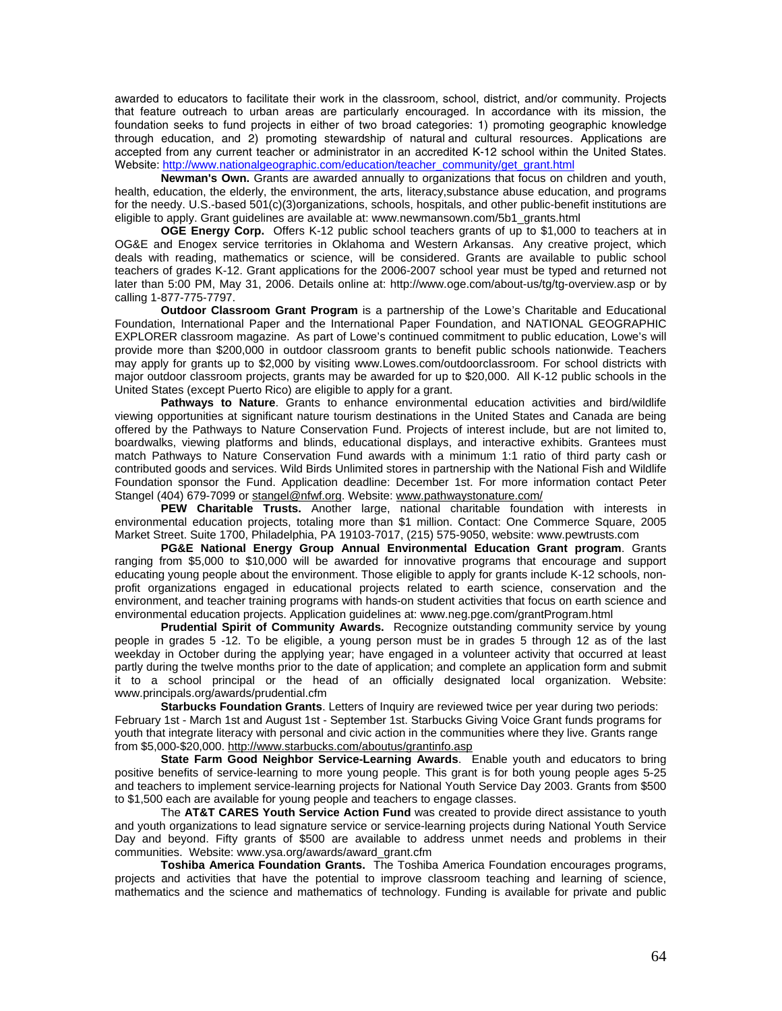awarded to educators to facilitate their work in the classroom, school, district, and/or community. Projects that feature outreach to urban areas are particularly encouraged. In accordance with its mission, the foundation seeks to fund projects in either of two broad categories: 1) promoting geographic knowledge through education, and 2) promoting stewardship of natural and cultural resources. Applications are accepted from any current teacher or administrator in an accredited K-12 school within the United States. Website: [http://www.nationalgeographic.com/education/teacher\\_community/get\\_grant.html](http://www.nationalgeographic.com/education/teacher_community/get_grant.html)

 **Newman's Own.** Grants are awarded annually to organizations that focus on children and youth, health, education, the elderly, the environment, the arts, literacy,substance abuse education, and programs for the needy. U.S.-based 501(c)(3)organizations, schools, hospitals, and other public-benefit institutions are eligible to apply. Grant guidelines are available at: www.newmansown.com/5b1\_grants.html

 **OGE Energy Corp.** Offers K-12 public school teachers grants of up to \$1,000 to teachers at in OG&E and Enogex service territories in Oklahoma and Western Arkansas. Any creative project, which deals with reading, mathematics or science, will be considered. Grants are available to public school teachers of grades K-12. Grant applications for the 2006-2007 school year must be typed and returned not later than 5:00 PM, May 31, 2006. Details online at: http://www.oge.com/about-us/tg/tg-overview.asp or by calling 1-877-775-7797.

 **Outdoor Classroom Grant Program** is a partnership of the Lowe's Charitable and Educational Foundation, International Paper and the International Paper Foundation, and NATIONAL GEOGRAPHIC EXPLORER classroom magazine. As part of Lowe's continued commitment to public education, Lowe's will provide more than \$200,000 in outdoor classroom grants to benefit public schools nationwide. Teachers may apply for grants up to \$2,000 by visiting www.Lowes.com/outdoorclassroom. For school districts with major outdoor classroom projects, grants may be awarded for up to \$20,000. All K-12 public schools in the United States (except Puerto Rico) are eligible to apply for a grant.

 **Pathways to Nature**. Grants to enhance environmental education activities and bird/wildlife viewing opportunities at significant nature tourism destinations in the United States and Canada are being offered by the Pathways to Nature Conservation Fund. Projects of interest include, but are not limited to, boardwalks, viewing platforms and blinds, educational displays, and interactive exhibits. Grantees must match Pathways to Nature Conservation Fund awards with a minimum 1:1 ratio of third party cash or contributed goods and services. Wild Birds Unlimited stores in partnership with the National Fish and Wildlife Foundation sponsor the Fund. Application deadline: December 1st. For more information contact Peter Stangel (404) 679-7099 or [stangel@nfwf.org.](mailto:stangel@nfwf.org) Website: [www.pathwaystonature.com/](http://www.pathwaystonature.com/)

 **PEW Charitable Trusts.** Another large, national charitable foundation with interests in environmental education projects, totaling more than \$1 million. Contact: One Commerce Square, 2005 Market Street. Suite 1700, Philadelphia, PA 19103-7017, (215) 575-9050, website: www.pewtrusts.com

 **PG&E National Energy Group Annual Environmental Education Grant program**. Grants ranging from \$5,000 to \$10,000 will be awarded for innovative programs that encourage and support educating young people about the environment. Those eligible to apply for grants include K-12 schools, nonprofit organizations engaged in educational projects related to earth science, conservation and the environment, and teacher training programs with hands-on student activities that focus on earth science and environmental education projects. Application guidelines at: www.neg.pge.com/grantProgram.html

**Prudential Spirit of Community Awards.** Recognize outstanding community service by young people in grades 5 -12. To be eligible, a young person must be in grades 5 through 12 as of the last weekday in October during the applying year; have engaged in a volunteer activity that occurred at least partly during the twelve months prior to the date of application; and complete an application form and submit it to a school principal or the head of an officially designated local organization. Website: www.principals.org/awards/prudential.cfm

**Starbucks Foundation Grants**. Letters of Inquiry are reviewed twice per year during two periods: February 1st - March 1st and August 1st - September 1st. Starbucks Giving Voice Grant funds programs for youth that integrate literacy with personal and civic action in the communities where they live. Grants range from \$5,000-\$20,000.<http://www.starbucks.com/aboutus/grantinfo.asp>

 **State Farm Good Neighbor Service-Learning Awards**. Enable youth and educators to bring positive benefits of service-learning to more young people. This grant is for both young people ages 5-25 and teachers to implement service-learning projects for National Youth Service Day 2003. Grants from \$500 to \$1,500 each are available for young people and teachers to engage classes.

 The **AT&T CARES Youth Service Action Fund** was created to provide direct assistance to youth and youth organizations to lead signature service or service-learning projects during National Youth Service Day and beyond. Fifty grants of \$500 are available to address unmet needs and problems in their communities. Website: www.ysa.org/awards/award\_grant.cfm

 **Toshiba America Foundation Grants.** The Toshiba America Foundation encourages programs, projects and activities that have the potential to improve classroom teaching and learning of science, mathematics and the science and mathematics of technology. Funding is available for private and public